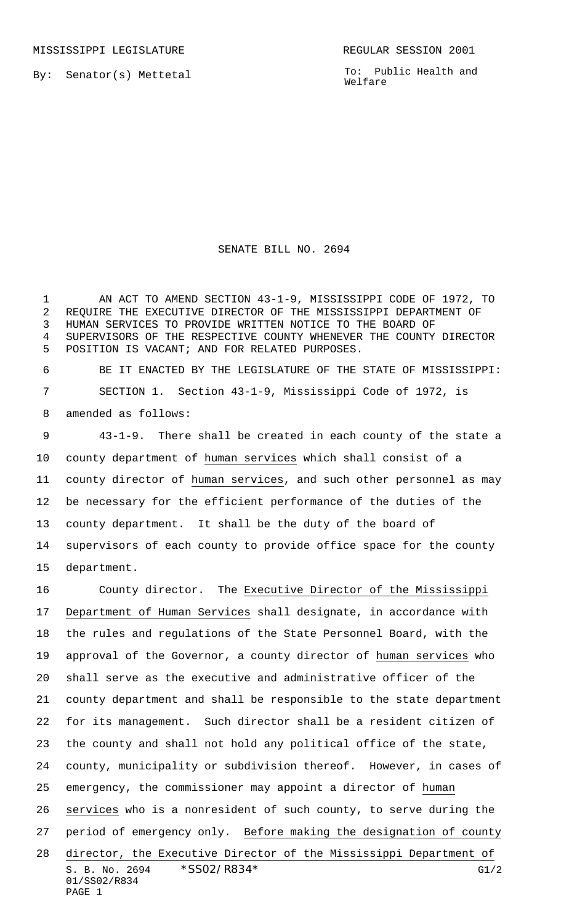By: Senator(s) Mettetal

PAGE 1

To: Public Health and Welfare

## SENATE BILL NO. 2694

1 AN ACT TO AMEND SECTION 43-1-9, MISSISSIPPI CODE OF 1972, TO REQUIRE THE EXECUTIVE DIRECTOR OF THE MISSISSIPPI DEPARTMENT OF HUMAN SERVICES TO PROVIDE WRITTEN NOTICE TO THE BOARD OF SUPERVISORS OF THE RESPECTIVE COUNTY WHENEVER THE COUNTY DIRECTOR POSITION IS VACANT; AND FOR RELATED PURPOSES.

 BE IT ENACTED BY THE LEGISLATURE OF THE STATE OF MISSISSIPPI: SECTION 1. Section 43-1-9, Mississippi Code of 1972, is amended as follows:

 43-1-9. There shall be created in each county of the state a county department of human services which shall consist of a county director of human services, and such other personnel as may be necessary for the efficient performance of the duties of the county department. It shall be the duty of the board of supervisors of each county to provide office space for the county department.

S. B. No. 2694 \* SSO2/R834\* G1/2 01/SS02/R834 County director. The Executive Director of the Mississippi Department of Human Services shall designate, in accordance with the rules and regulations of the State Personnel Board, with the approval of the Governor, a county director of human services who shall serve as the executive and administrative officer of the county department and shall be responsible to the state department for its management. Such director shall be a resident citizen of the county and shall not hold any political office of the state, county, municipality or subdivision thereof. However, in cases of emergency, the commissioner may appoint a director of human services who is a nonresident of such county, to serve during the period of emergency only. Before making the designation of county director, the Executive Director of the Mississippi Department of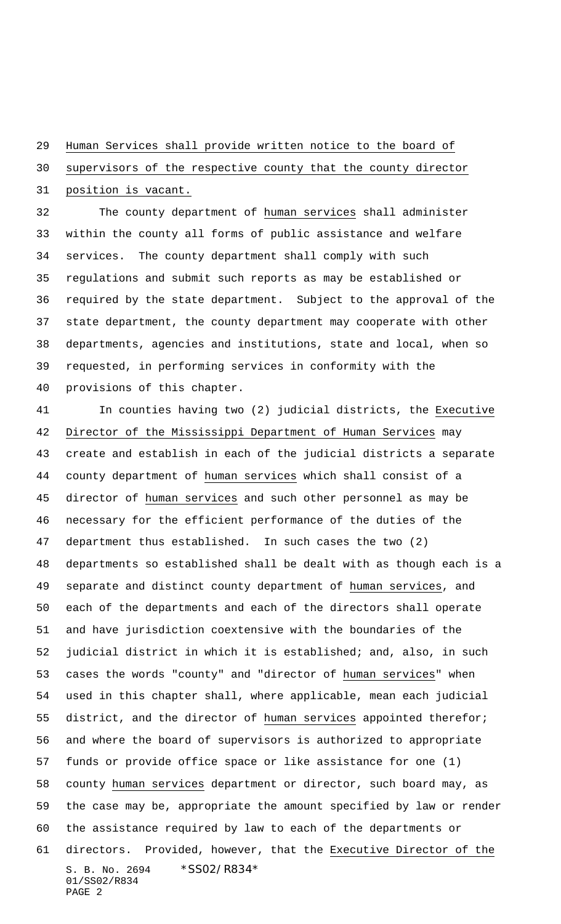## Human Services shall provide written notice to the board of

supervisors of the respective county that the county director

position is vacant.

32 The county department of human services shall administer within the county all forms of public assistance and welfare services. The county department shall comply with such regulations and submit such reports as may be established or required by the state department. Subject to the approval of the state department, the county department may cooperate with other departments, agencies and institutions, state and local, when so requested, in performing services in conformity with the provisions of this chapter.

S. B. No. 2694 \* SS02/R834\* 01/SS02/R834 PAGE 2 In counties having two (2) judicial districts, the Executive Director of the Mississippi Department of Human Services may create and establish in each of the judicial districts a separate county department of human services which shall consist of a director of human services and such other personnel as may be necessary for the efficient performance of the duties of the department thus established. In such cases the two (2) departments so established shall be dealt with as though each is a separate and distinct county department of human services, and each of the departments and each of the directors shall operate and have jurisdiction coextensive with the boundaries of the judicial district in which it is established; and, also, in such 53 cases the words "county" and "director of human services" when used in this chapter shall, where applicable, mean each judicial district, and the director of human services appointed therefor; and where the board of supervisors is authorized to appropriate funds or provide office space or like assistance for one (1) county human services department or director, such board may, as the case may be, appropriate the amount specified by law or render the assistance required by law to each of the departments or directors. Provided, however, that the Executive Director of the